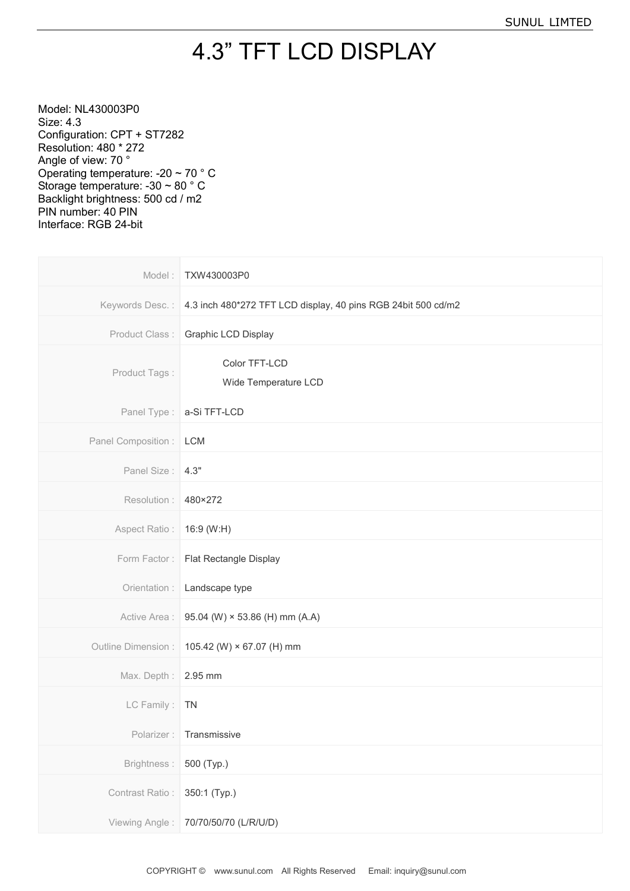## 4.3" TFT LCD DISPLAY

Model: NL430003P0 Size: 4.3 Configuration: CPT + ST7282 Resolution: 480 \* 272 Angle of view: 70 ° Operating temperature: -20 ~ 70 ° C Storage temperature: -30 ~ 80 ° C Backlight brightness: 500 cd / m2 PIN number: 40 PIN Interface: RGB 24-bit

| Model:                    | TXW430003P0                                                   |
|---------------------------|---------------------------------------------------------------|
| Keywords Desc.:           | 4.3 inch 480*272 TFT LCD display, 40 pins RGB 24bit 500 cd/m2 |
| Product Class:            | Graphic LCD Display                                           |
| Product Tags:             | Color TFT-LCD<br>Wide Temperature LCD                         |
| Panel Type:               | a-Si TFT-LCD                                                  |
| Panel Composition :   LCM |                                                               |
| Panel Size: 4.3"          |                                                               |
| Resolution:               | 480×272                                                       |
| Aspect Ratio:             | 16:9 (W:H)                                                    |
| Form Factor:              | Flat Rectangle Display                                        |
| Orientation :             | Landscape type                                                |
| Active Area :             | 95.04 (W) $\times$ 53.86 (H) mm (A.A)                         |
| Outline Dimension :       | 105.42 (W) × 67.07 (H) mm                                     |
| Max. Depth:               | 2.95 mm                                                       |
| LC Family:                | <b>TN</b>                                                     |
|                           | Polarizer: Transmissive                                       |
| Brightness:               | 500 (Typ.)                                                    |
| Contrast Ratio:           | 350:1 (Typ.)                                                  |
| Viewing Angle:            | 70/70/50/70 (L/R/U/D)                                         |